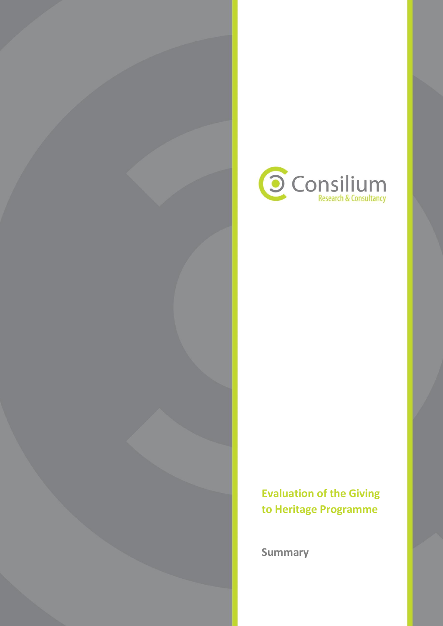



**Evaluation of the Giving to Heritage Programme** 

**Summary**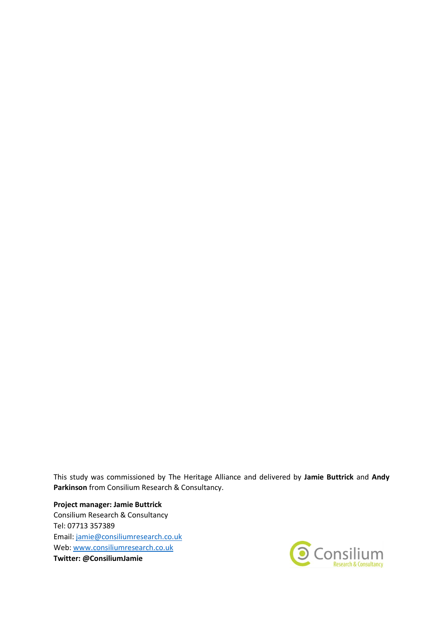This study was commissioned by The Heritage Alliance and delivered by **Jamie Buttrick** and **Andy Parkinson** from Consilium Research & Consultancy.

**Project manager: Jamie Buttrick** Consilium Research & Consultancy Tel: 07713 357389 Email: [jamie@consiliumresearch.co.uk](mailto:jamie@consiliumresearch.co.uk) Web[: www.consiliumresearch.co.uk](http://www.consiliumresearch.co.uk/)  **Twitter: @ConsiliumJamie**

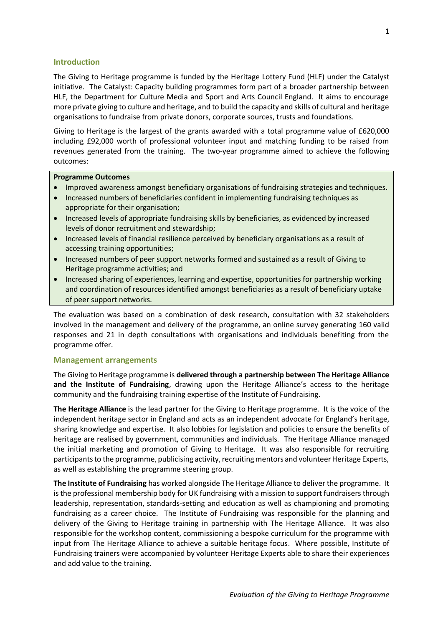#### **Introduction**

The Giving to Heritage programme is funded by the Heritage Lottery Fund (HLF) under the Catalyst initiative. The Catalyst: Capacity building programmes form part of a broader partnership between HLF, the Department for Culture Media and Sport and Arts Council England. It aims to encourage more private giving to culture and heritage, and to build the capacity and skills of cultural and heritage organisations to fundraise from private donors, corporate sources, trusts and foundations.

Giving to Heritage is the largest of the grants awarded with a total programme value of £620,000 including £92,000 worth of professional volunteer input and matching funding to be raised from revenues generated from the training. The two-year programme aimed to achieve the following outcomes:

#### **Programme Outcomes**

- Improved awareness amongst beneficiary organisations of fundraising strategies and techniques.
- Increased numbers of beneficiaries confident in implementing fundraising techniques as appropriate for their organisation;
- **•** Increased levels of appropriate fundraising skills by beneficiaries, as evidenced by increased levels of donor recruitment and stewardship;
- Increased levels of financial resilience perceived by beneficiary organisations as a result of accessing training opportunities;
- Increased numbers of peer support networks formed and sustained as a result of Giving to Heritage programme activities; and
- Increased sharing of experiences, learning and expertise, opportunities for partnership working and coordination of resources identified amongst beneficiaries as a result of beneficiary uptake of peer support networks.

The evaluation was based on a combination of desk research, consultation with 32 stakeholders involved in the management and delivery of the programme, an online survey generating 160 valid responses and 21 in depth consultations with organisations and individuals benefiting from the programme offer.

#### **Management arrangements**

The Giving to Heritage programme is **delivered through a partnership between The Heritage Alliance and the Institute of Fundraising**, drawing upon the Heritage Alliance's access to the heritage community and the fundraising training expertise of the Institute of Fundraising.

**The Heritage Alliance** is the lead partner for the Giving to Heritage programme. It is the voice of the independent heritage sector in England and acts as an independent advocate for England's heritage, sharing knowledge and expertise. It also lobbies for legislation and policies to ensure the benefits of heritage are realised by government, communities and individuals. The Heritage Alliance managed the initial marketing and promotion of Giving to Heritage. It was also responsible for recruiting participants to the programme, publicising activity, recruiting mentors and volunteer Heritage Experts, as well as establishing the programme steering group.

**The Institute of Fundraising** has worked alongside The Heritage Alliance to deliver the programme. It is the professional membership body for UK fundraising with a mission to support fundraisers through leadership, representation, standards-setting and education as well as championing and promoting fundraising as a career choice. The Institute of Fundraising was responsible for the planning and delivery of the Giving to Heritage training in partnership with The Heritage Alliance. It was also responsible for the workshop content, commissioning a bespoke curriculum for the programme with input from The Heritage Alliance to achieve a suitable heritage focus. Where possible, Institute of Fundraising trainers were accompanied by volunteer Heritage Experts able to share their experiences and add value to the training.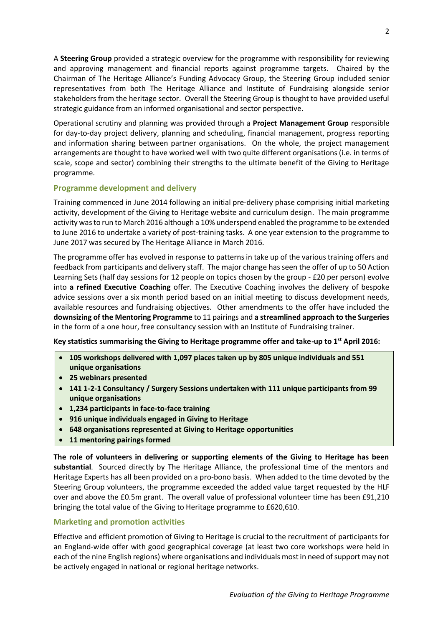A **Steering Group** provided a strategic overview for the programme with responsibility for reviewing and approving management and financial reports against programme targets. Chaired by the Chairman of The Heritage Alliance's Funding Advocacy Group, the Steering Group included senior representatives from both The Heritage Alliance and Institute of Fundraising alongside senior stakeholders from the heritage sector.Overall the Steering Group is thought to have provided useful strategic guidance from an informed organisational and sector perspective.

Operational scrutiny and planning was provided through a **Project Management Group** responsible for day-to-day project delivery, planning and scheduling, financial management, progress reporting and information sharing between partner organisations. On the whole, the project management arrangements are thought to have worked well with two quite different organisations (i.e. in terms of scale, scope and sector) combining their strengths to the ultimate benefit of the Giving to Heritage programme.

# **Programme development and delivery**

Training commenced in June 2014 following an initial pre-delivery phase comprising initial marketing activity, development of the Giving to Heritage website and curriculum design. The main programme activity was to run to March 2016 although a 10% underspend enabled the programme to be extended to June 2016 to undertake a variety of post-training tasks. A one year extension to the programme to June 2017 was secured by The Heritage Alliance in March 2016.

The programme offer has evolved in response to patterns in take up of the various training offers and feedback from participants and delivery staff. The major change has seen the offer of up to 50 Action Learning Sets (half day sessions for 12 people on topics chosen by the group - £20 per person) evolve into **a refined Executive Coaching** offer. The Executive Coaching involves the delivery of bespoke advice sessions over a six month period based on an initial meeting to discuss development needs, available resources and fundraising objectives. Other amendments to the offer have included the **downsizing of the Mentoring Programme** to 11 pairings and **a streamlined approach to the Surgeries** in the form of a one hour, free consultancy session with an Institute of Fundraising trainer.

### **Key statistics summarising the Giving to Heritage programme offer and take-up to 1st April 2016:**

- **105 workshops delivered with 1,097 places taken up by 805 unique individuals and 551 unique organisations**
- **25 webinars presented**
- **141 1-2-1 Consultancy / Surgery Sessions undertaken with 111 unique participants from 99 unique organisations**
- **1,234 participants in face-to-face training**
- **916 unique individuals engaged in Giving to Heritage**
- **648 organisations represented at Giving to Heritage opportunities**
- **11 mentoring pairings formed**

**The role of volunteers in delivering or supporting elements of the Giving to Heritage has been substantial**. Sourced directly by The Heritage Alliance, the professional time of the mentors and Heritage Experts has all been provided on a pro-bono basis. When added to the time devoted by the Steering Group volunteers, the programme exceeded the added value target requested by the HLF over and above the £0.5m grant. The overall value of professional volunteer time has been £91,210 bringing the total value of the Giving to Heritage programme to £620,610.

### **Marketing and promotion activities**

Effective and efficient promotion of Giving to Heritage is crucial to the recruitment of participants for an England-wide offer with good geographical coverage (at least two core workshops were held in each of the nine English regions) where organisations and individuals most in need of support may not be actively engaged in national or regional heritage networks.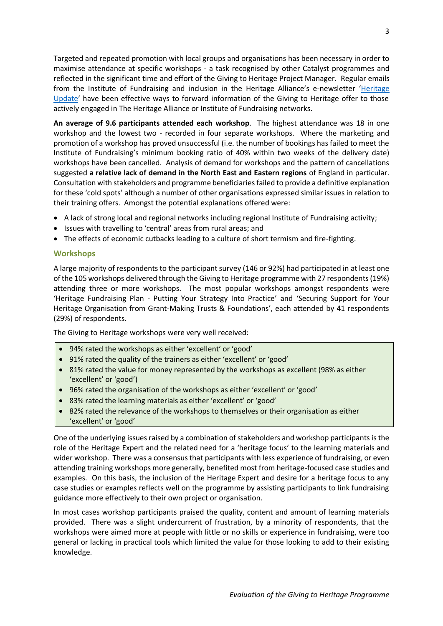Targeted and repeated promotion with local groups and organisations has been necessary in order to maximise attendance at specific workshops - a task recognised by other Catalyst programmes and reflected in the significant time and effort of the Giving to Heritage Project Manager. Regular emails from the Institute of Fundraising and inclusion in the Heritage Alliance's e-newsletter '[Heritage](http://www.theheritagealliance.org.uk/heritage-update)  [Update](http://www.theheritagealliance.org.uk/heritage-update)' have been effective ways to forward information of the Giving to Heritage offer to those actively engaged in The Heritage Alliance or Institute of Fundraising networks.

**An average of 9.6 participants attended each workshop**. The highest attendance was 18 in one workshop and the lowest two - recorded in four separate workshops. Where the marketing and promotion of a workshop has proved unsuccessful (i.e. the number of bookings has failed to meet the Institute of Fundraising's minimum booking ratio of 40% within two weeks of the delivery date) workshops have been cancelled. Analysis of demand for workshops and the pattern of cancellations suggested **a relative lack of demand in the North East and Eastern regions** of England in particular. Consultation with stakeholders and programme beneficiaries failed to provide a definitive explanation for these 'cold spots' although a number of other organisations expressed similar issues in relation to their training offers. Amongst the potential explanations offered were:

- A lack of strong local and regional networks including regional Institute of Fundraising activity;
- Issues with travelling to 'central' areas from rural areas; and
- The effects of economic cutbacks leading to a culture of short termism and fire-fighting.

## **Workshops**

A large majority of respondents to the participant survey (146 or 92%) had participated in at least one of the 105 workshops delivered through the Giving to Heritage programme with 27 respondents(19%) attending three or more workshops. The most popular workshops amongst respondents were 'Heritage Fundraising Plan - Putting Your Strategy Into Practice' and 'Securing Support for Your Heritage Organisation from Grant-Making Trusts & Foundations', each attended by 41 respondents (29%) of respondents.

The Giving to Heritage workshops were very well received:

- 94% rated the workshops as either 'excellent' or 'good'
- 91% rated the quality of the trainers as either 'excellent' or 'good'
- 81% rated the value for money represented by the workshops as excellent (98% as either 'excellent' or 'good')
- 96% rated the organisation of the workshops as either 'excellent' or 'good'
- 83% rated the learning materials as either 'excellent' or 'good'
- 82% rated the relevance of the workshops to themselves or their organisation as either 'excellent' or 'good'

One of the underlying issues raised by a combination of stakeholders and workshop participants is the role of the Heritage Expert and the related need for a 'heritage focus' to the learning materials and wider workshop. There was a consensus that participants with less experience of fundraising, or even attending training workshops more generally, benefited most from heritage-focused case studies and examples. On this basis, the inclusion of the Heritage Expert and desire for a heritage focus to any case studies or examples reflects well on the programme by assisting participants to link fundraising guidance more effectively to their own project or organisation.

In most cases workshop participants praised the quality, content and amount of learning materials provided. There was a slight undercurrent of frustration, by a minority of respondents, that the workshops were aimed more at people with little or no skills or experience in fundraising, were too general or lacking in practical tools which limited the value for those looking to add to their existing knowledge.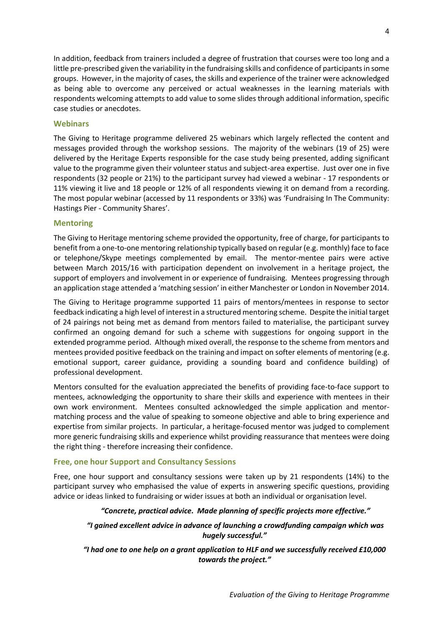In addition, feedback from trainers included a degree of frustration that courses were too long and a little pre-prescribed given the variability in the fundraising skills and confidence of participants in some groups. However, in the majority of cases, the skills and experience of the trainer were acknowledged as being able to overcome any perceived or actual weaknesses in the learning materials with respondents welcoming attempts to add value to some slides through additional information, specific case studies or anecdotes.

## **Webinars**

The Giving to Heritage programme delivered 25 webinars which largely reflected the content and messages provided through the workshop sessions. The majority of the webinars (19 of 25) were delivered by the Heritage Experts responsible for the case study being presented, adding significant value to the programme given their volunteer status and subject-area expertise. Just over one in five respondents (32 people or 21%) to the participant survey had viewed a webinar - 17 respondents or 11% viewing it live and 18 people or 12% of all respondents viewing it on demand from a recording. The most popular webinar (accessed by 11 respondents or 33%) was 'Fundraising In The Community: Hastings Pier - Community Shares'.

## **Mentoring**

The Giving to Heritage mentoring scheme provided the opportunity, free of charge, for participants to benefit from a one-to-one mentoring relationship typically based on regular (e.g. monthly) face to face or telephone/Skype meetings complemented by email. The mentor-mentee pairs were active between March 2015/16 with participation dependent on involvement in a heritage project, the support of employers and involvement in or experience of fundraising. Mentees progressing through an application stage attended a 'matching session' in either Manchester or London in November 2014.

The Giving to Heritage programme supported 11 pairs of mentors/mentees in response to sector feedback indicating a high level of interest in a structured mentoring scheme. Despite the initial target of 24 pairings not being met as demand from mentors failed to materialise, the participant survey confirmed an ongoing demand for such a scheme with suggestions for ongoing support in the extended programme period. Although mixed overall, the response to the scheme from mentors and mentees provided positive feedback on the training and impact on softer elements of mentoring (e.g. emotional support, career guidance, providing a sounding board and confidence building) of professional development.

Mentors consulted for the evaluation appreciated the benefits of providing face-to-face support to mentees, acknowledging the opportunity to share their skills and experience with mentees in their own work environment. Mentees consulted acknowledged the simple application and mentormatching process and the value of speaking to someone objective and able to bring experience and expertise from similar projects. In particular, a heritage-focused mentor was judged to complement more generic fundraising skills and experience whilst providing reassurance that mentees were doing the right thing - therefore increasing their confidence.

# **Free, one hour Support and Consultancy Sessions**

Free, one hour support and consultancy sessions were taken up by 21 respondents (14%) to the participant survey who emphasised the value of experts in answering specific questions, providing advice or ideas linked to fundraising or wider issues at both an individual or organisation level.

### *"Concrete, practical advice. Made planning of specific projects more effective."*

*"I gained excellent advice in advance of launching a crowdfunding campaign which was hugely successful."*

# *"I had one to one help on a grant application to HLF and we successfully received £10,000 towards the project."*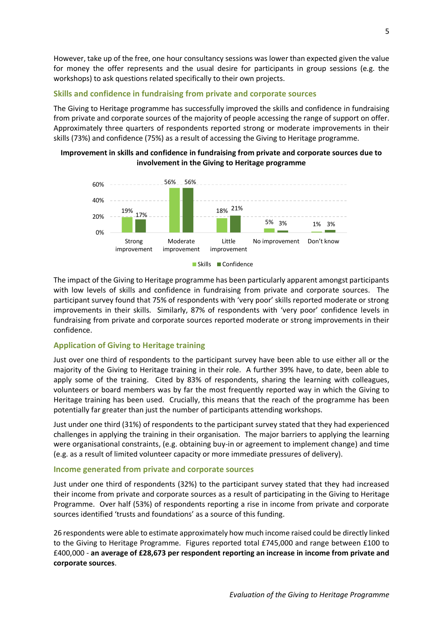However, take up of the free, one hour consultancy sessions was lower than expected given the value for money the offer represents and the usual desire for participants in group sessions (e.g. the workshops) to ask questions related specifically to their own projects.

## **Skills and confidence in fundraising from private and corporate sources**

The Giving to Heritage programme has successfully improved the skills and confidence in fundraising from private and corporate sources of the majority of people accessing the range of support on offer. Approximately three quarters of respondents reported strong or moderate improvements in their skills (73%) and confidence (75%) as a result of accessing the Giving to Heritage programme.

## **Improvement in skills and confidence in fundraising from private and corporate sources due to involvement in the Giving to Heritage programme**



The impact of the Giving to Heritage programme has been particularly apparent amongst participants with low levels of skills and confidence in fundraising from private and corporate sources. The participant survey found that 75% of respondents with 'very poor' skills reported moderate or strong improvements in their skills. Similarly, 87% of respondents with 'very poor' confidence levels in fundraising from private and corporate sources reported moderate or strong improvements in their confidence.

# **Application of Giving to Heritage training**

Just over one third of respondents to the participant survey have been able to use either all or the majority of the Giving to Heritage training in their role. A further 39% have, to date, been able to apply some of the training. Cited by 83% of respondents, sharing the learning with colleagues, volunteers or board members was by far the most frequently reported way in which the Giving to Heritage training has been used. Crucially, this means that the reach of the programme has been potentially far greater than just the number of participants attending workshops.

Just under one third (31%) of respondents to the participant survey stated that they had experienced challenges in applying the training in their organisation. The major barriers to applying the learning were organisational constraints, (e.g. obtaining buy-in or agreement to implement change) and time (e.g. as a result of limited volunteer capacity or more immediate pressures of delivery).

# **Income generated from private and corporate sources**

Just under one third of respondents (32%) to the participant survey stated that they had increased their income from private and corporate sources as a result of participating in the Giving to Heritage Programme. Over half (53%) of respondents reporting a rise in income from private and corporate sources identified 'trusts and foundations' as a source of this funding.

26 respondents were able to estimate approximately how much income raised could be directly linked to the Giving to Heritage Programme. Figures reported total £745,000 and range between £100 to £400,000 - **an average of £28,673 per respondent reporting an increase in income from private and corporate sources**.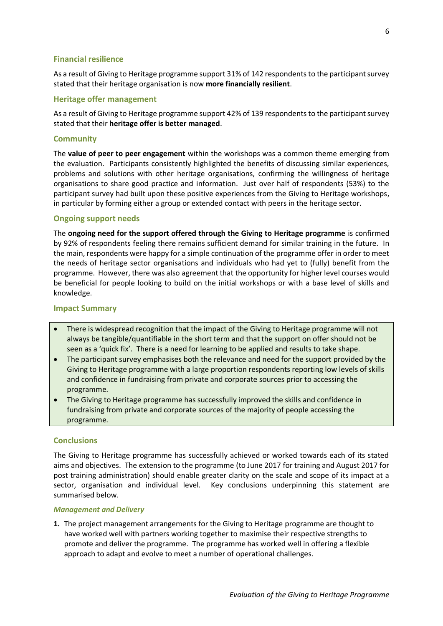## **Financial resilience**

As a result of Giving to Heritage programme support 31% of 142 respondents to the participant survey stated that their heritage organisation is now **more financially resilient**.

#### **Heritage offer management**

As a result of Giving to Heritage programme support 42% of 139 respondents to the participant survey stated that their **heritage offer is better managed**.

#### **Community**

The **value of peer to peer engagement** within the workshops was a common theme emerging from the evaluation. Participants consistently highlighted the benefits of discussing similar experiences, problems and solutions with other heritage organisations, confirming the willingness of heritage organisations to share good practice and information. Just over half of respondents (53%) to the participant survey had built upon these positive experiences from the Giving to Heritage workshops, in particular by forming either a group or extended contact with peers in the heritage sector.

#### **Ongoing support needs**

The **ongoing need for the support offered through the Giving to Heritage programme** is confirmed by 92% of respondents feeling there remains sufficient demand for similar training in the future. In the main, respondents were happy for a simple continuation of the programme offer in order to meet the needs of heritage sector organisations and individuals who had yet to (fully) benefit from the programme. However, there was also agreement that the opportunity for higher level courses would be beneficial for people looking to build on the initial workshops or with a base level of skills and knowledge.

#### **Impact Summary**

- There is widespread recognition that the impact of the Giving to Heritage programme will not always be tangible/quantifiable in the short term and that the support on offer should not be seen as a 'quick fix'. There is a need for learning to be applied and results to take shape.
- The participant survey emphasises both the relevance and need for the support provided by the Giving to Heritage programme with a large proportion respondents reporting low levels of skills and confidence in fundraising from private and corporate sources prior to accessing the programme.
- The Giving to Heritage programme has successfully improved the skills and confidence in fundraising from private and corporate sources of the majority of people accessing the programme.

#### **Conclusions**

The Giving to Heritage programme has successfully achieved or worked towards each of its stated aims and objectives. The extension to the programme (to June 2017 for training and August 2017 for post training administration) should enable greater clarity on the scale and scope of its impact at a sector, organisation and individual level. Key conclusions underpinning this statement are summarised below.

#### *Management and Delivery*

**1.** The project management arrangements for the Giving to Heritage programme are thought to have worked well with partners working together to maximise their respective strengths to promote and deliver the programme. The programme has worked well in offering a flexible approach to adapt and evolve to meet a number of operational challenges.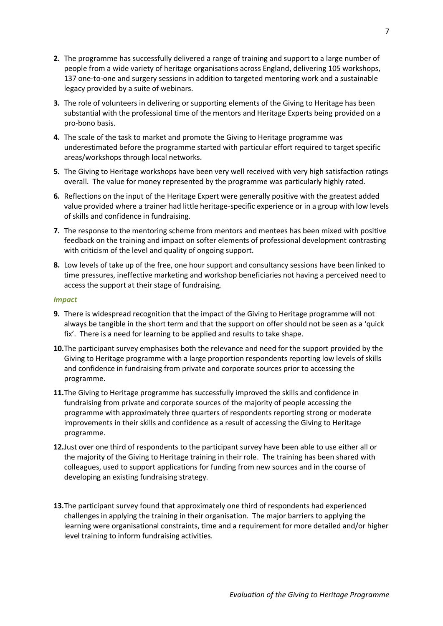- **2.** The programme has successfully delivered a range of training and support to a large number of people from a wide variety of heritage organisations across England, delivering 105 workshops, 137 one-to-one and surgery sessions in addition to targeted mentoring work and a sustainable legacy provided by a suite of webinars.
- **3.** The role of volunteers in delivering or supporting elements of the Giving to Heritage has been substantial with the professional time of the mentors and Heritage Experts being provided on a pro-bono basis.
- **4.** The scale of the task to market and promote the Giving to Heritage programme was underestimated before the programme started with particular effort required to target specific areas/workshops through local networks.
- **5.** The Giving to Heritage workshops have been very well received with very high satisfaction ratings overall. The value for money represented by the programme was particularly highly rated.
- **6.** Reflections on the input of the Heritage Expert were generally positive with the greatest added value provided where a trainer had little heritage-specific experience or in a group with low levels of skills and confidence in fundraising.
- **7.** The response to the mentoring scheme from mentors and mentees has been mixed with positive feedback on the training and impact on softer elements of professional development contrasting with criticism of the level and quality of ongoing support.
- **8.** Low levels of take up of the free, one hour support and consultancy sessions have been linked to time pressures, ineffective marketing and workshop beneficiaries not having a perceived need to access the support at their stage of fundraising.

#### *Impact*

- **9.** There is widespread recognition that the impact of the Giving to Heritage programme will not always be tangible in the short term and that the support on offer should not be seen as a 'quick fix'. There is a need for learning to be applied and results to take shape.
- **10.**The participant survey emphasises both the relevance and need for the support provided by the Giving to Heritage programme with a large proportion respondents reporting low levels of skills and confidence in fundraising from private and corporate sources prior to accessing the programme.
- **11.**The Giving to Heritage programme has successfully improved the skills and confidence in fundraising from private and corporate sources of the majority of people accessing the programme with approximately three quarters of respondents reporting strong or moderate improvements in their skills and confidence as a result of accessing the Giving to Heritage programme.
- **12.**Just over one third of respondents to the participant survey have been able to use either all or the majority of the Giving to Heritage training in their role. The training has been shared with colleagues, used to support applications for funding from new sources and in the course of developing an existing fundraising strategy.
- **13.**The participant survey found that approximately one third of respondents had experienced challenges in applying the training in their organisation. The major barriers to applying the learning were organisational constraints, time and a requirement for more detailed and/or higher level training to inform fundraising activities.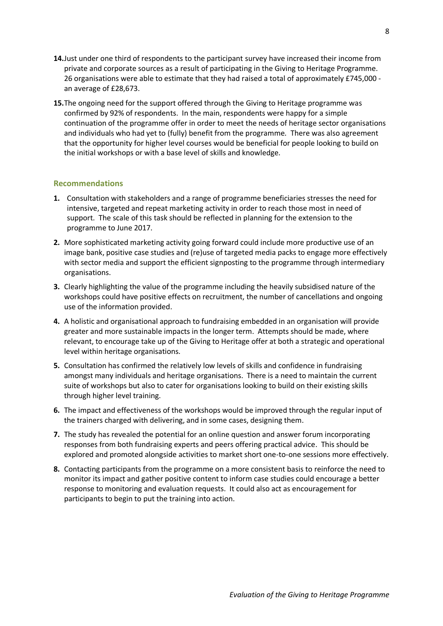- **14.**Just under one third of respondents to the participant survey have increased their income from private and corporate sources as a result of participating in the Giving to Heritage Programme. 26 organisations were able to estimate that they had raised a total of approximately £745,000 an average of £28,673.
- **15.**The ongoing need for the support offered through the Giving to Heritage programme was confirmed by 92% of respondents. In the main, respondents were happy for a simple continuation of the programme offer in order to meet the needs of heritage sector organisations and individuals who had yet to (fully) benefit from the programme. There was also agreement that the opportunity for higher level courses would be beneficial for people looking to build on the initial workshops or with a base level of skills and knowledge.

### **Recommendations**

- **1.** Consultation with stakeholders and a range of programme beneficiaries stresses the need for intensive, targeted and repeat marketing activity in order to reach those most in need of support. The scale of this task should be reflected in planning for the extension to the programme to June 2017.
- **2.** More sophisticated marketing activity going forward could include more productive use of an image bank, positive case studies and (re)use of targeted media packs to engage more effectively with sector media and support the efficient signposting to the programme through intermediary organisations.
- **3.** Clearly highlighting the value of the programme including the heavily subsidised nature of the workshops could have positive effects on recruitment, the number of cancellations and ongoing use of the information provided.
- **4.** A holistic and organisational approach to fundraising embedded in an organisation will provide greater and more sustainable impacts in the longer term. Attempts should be made, where relevant, to encourage take up of the Giving to Heritage offer at both a strategic and operational level within heritage organisations.
- **5.** Consultation has confirmed the relatively low levels of skills and confidence in fundraising amongst many individuals and heritage organisations. There is a need to maintain the current suite of workshops but also to cater for organisations looking to build on their existing skills through higher level training.
- **6.** The impact and effectiveness of the workshops would be improved through the regular input of the trainers charged with delivering, and in some cases, designing them.
- **7.** The study has revealed the potential for an online question and answer forum incorporating responses from both fundraising experts and peers offering practical advice. This should be explored and promoted alongside activities to market short one-to-one sessions more effectively.
- **8.** Contacting participants from the programme on a more consistent basis to reinforce the need to monitor its impact and gather positive content to inform case studies could encourage a better response to monitoring and evaluation requests. It could also act as encouragement for participants to begin to put the training into action.